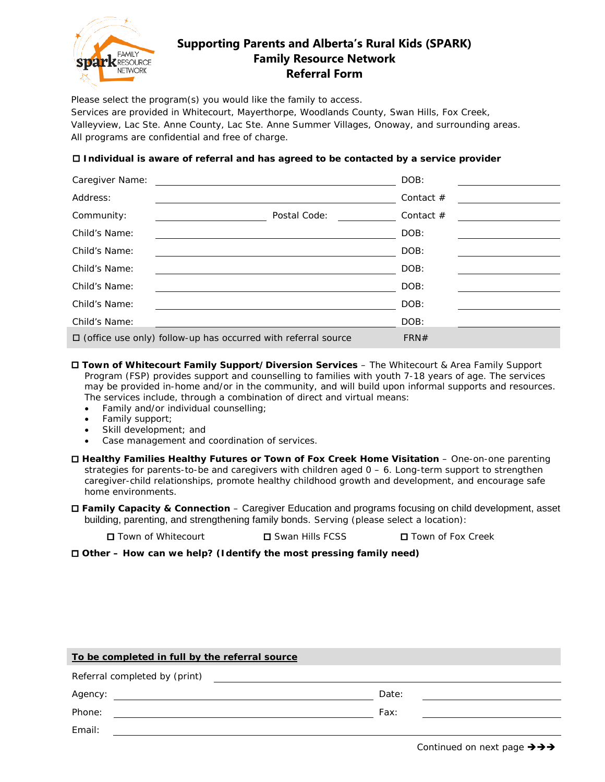

## **Supporting Parents and Alberta's Rural Kids (SPARK) Family Resource Network Referral Form**

Please select the program(s) you would like the family to access.

Services are provided in Whitecourt, Mayerthorpe, Woodlands County, Swan Hills, Fox Creek, Valleyview, Lac Ste. Anne County, Lac Ste. Anne Summer Villages, Onoway, and surrounding areas. All programs are confidential and free of charge.

## **Individual is aware of referral and has agreed to be contacted by a service provider**

| Caregiver Name: |                                                                      | DOB:        |  |
|-----------------|----------------------------------------------------------------------|-------------|--|
| Address:        |                                                                      | Contact $#$ |  |
| Community:      | Postal Code:                                                         | Contact $#$ |  |
| Child's Name:   |                                                                      | DOB:        |  |
| Child's Name:   |                                                                      | DOB:        |  |
| Child's Name:   |                                                                      | DOB:        |  |
| Child's Name:   |                                                                      | DOB:        |  |
| Child's Name:   |                                                                      | DOB:        |  |
| Child's Name:   |                                                                      | DOB:        |  |
|                 | $\Box$ (office use only) follow-up has occurred with referral source | FRN#        |  |

- **Town of Whitecourt Family Support/Diversion Services** The Whitecourt & Area Family Support Program (FSP) provides support and counselling to families with youth 7-18 years of age. The services may be provided in-home and/or in the community, and will build upon informal supports and resources. The services include, through a combination of direct and virtual means:
	- Family and/or individual counselling;
	- Family support;
	- Skill development; and
	- Case management and coordination of services.
- **Healthy Families Healthy Futures or Town of Fox Creek Home Visitation** One-on-one parenting strategies for parents-to-be and caregivers with children aged 0 – 6. Long-term support to strengthen caregiver-child relationships, promote healthy childhood growth and development, and encourage safe home environments.
- **Family Capacity & Connection** Caregiver Education and programs focusing on child development, asset building, parenting, and strengthening family bonds. Serving (please select a location):
	- **□** Town of Whitecourt **□** Swan Hills FCSS □ Town of Fox Creek

**Other – How can we help? (Identify the most pressing family need)**

| To be completed in full by the referral source |       |  |  |  |
|------------------------------------------------|-------|--|--|--|
| Referral completed by (print)                  |       |  |  |  |
| Agency:                                        | Date: |  |  |  |
| Phone:                                         | Fax:  |  |  |  |
| Email:                                         |       |  |  |  |